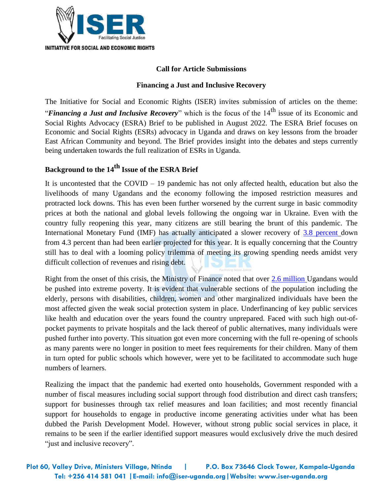

## **Call for Article Submissions**

## **Financing a Just and Inclusive Recovery**

The Initiative for Social and Economic Rights (ISER) invites submission of articles on the theme: *"Financing a Just and Inclusive Recovery*" which is the focus of the 14<sup>th</sup> issue of its Economic and Social Rights Advocacy (ESRA) Brief to be published in August 2022. The ESRA Brief focuses on Economic and Social Rights (ESRs) advocacy in Uganda and draws on key lessons from the broader East African Community and beyond. The Brief provides insight into the debates and steps currently being undertaken towards the full realization of ESRs in Uganda.

## **Background to the 14th Issue of the ESRA Brief**

It is uncontested that the COVID – 19 pandemic has not only affected health, education but also the livelihoods of many Ugandans and the economy following the imposed restriction measures and protracted lock downs. This has even been further worsened by the current surge in basic commodity prices at both the national and global levels following the ongoing war in Ukraine. Even with the country fully reopening this year, many citizens are still bearing the brunt of this pandemic. The International Monetary Fund (IMF) has actually anticipated a slower recovery of [3.8 percent](https://www.imf.org/en/News/Articles/2022/03/10/pr2270-IMF-Executive-Board-Concludes-First-Review-Extended-Credit-Facility-2021-Article-IV-Uganda) down from 4.3 percent than had been earlier projected for this year. It is equally concerning that the Country still has to deal with a looming policy trilemma of meeting its growing spending needs amidst very difficult collection of revenues and rising debt.

Right from the onset of this crisis, the Ministry of Finance noted that over [2.6 million](https://www.finance.go.ug/sites/default/files/press/Minister%27s%20statement%20on%20Covid-19%20to%20Parliament_0.docx) Ugandans would be pushed into extreme poverty. It is evident that vulnerable sections of the population including the elderly, persons with disabilities, children, women and other marginalized individuals have been the most affected given the weak social protection system in place. Underfinancing of key public services like health and education over the years found the country unprepared. Faced with such high out-ofpocket payments to private hospitals and the lack thereof of public alternatives, many individuals were pushed further into poverty. This situation got even more concerning with the full re-opening of schools as many parents were no longer in position to meet fees requirements for their children. Many of them in turn opted for public schools which however, were yet to be facilitated to accommodate such huge numbers of learners.

Realizing the impact that the pandemic had exerted onto households, Government responded with a number of fiscal measures including social support through food distribution and direct cash transfers; support for businesses through tax relief measures and loan facilities; and most recently financial support for households to engage in productive income generating activities under what has been dubbed the Parish Development Model. However, without strong public social services in place, it remains to be seen if the earlier identified support measures would exclusively drive the much desired "just and inclusive recovery".